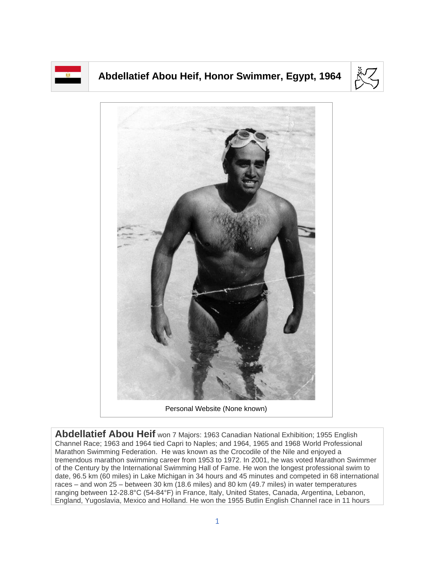

## **Abdellatief Abou Heif, Honor Swimmer, Egypt, 1964**





Personal Website (None known)

**Abdellatief Abou Heif** won 7 Majors: 1963 Canadian National Exhibition; 1955 English Channel Race; 1963 and 1964 tied Capri to Naples; and 1964, 1965 and 1968 World Professional Marathon Swimming Federation. He was known as the Crocodile of the Nile and enjoyed a tremendous marathon swimming career from 1953 to 1972. In 2001, he was voted Marathon Swimmer of the Century by the International Swimming Hall of Fame. He won the longest professional swim to date, 96.5 km (60 miles) in Lake Michigan in 34 hours and 45 minutes and competed in 68 international races – and won 25 – between 30 km (18.6 miles) and 80 km (49.7 miles) in water temperatures ranging between 12-28.8°C (54-84°F) in France, Italy, United States, Canada, Argentina, Lebanon, England, Yugoslavia, Mexico and Holland. He won the 1955 Butlin English Channel race in 11 hours